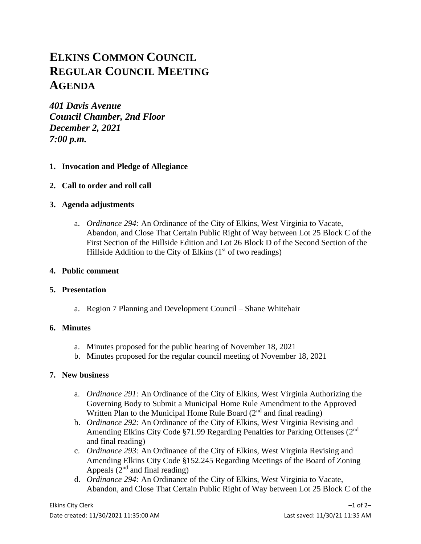# **ELKINS COMMON COUNCIL REGULAR COUNCIL MEETING AGENDA**

*401 Davis Avenue Council Chamber, 2nd Floor December 2, 2021 7:00 p.m.*

# **1. Invocation and Pledge of Allegiance**

**2. Call to order and roll call**

# **3. Agenda adjustments**

a. *Ordinance 294:* An Ordinance of the City of Elkins, West Virginia to Vacate, Abandon, and Close That Certain Public Right of Way between Lot 25 Block C of the First Section of the Hillside Edition and Lot 26 Block D of the Second Section of the Hillside Addition to the City of Elkins  $(1<sup>st</sup>$  of two readings)

## **4. Public comment**

## **5. Presentation**

a. Region 7 Planning and Development Council – Shane Whitehair

## **6. Minutes**

- a. Minutes proposed for the public hearing of November 18, 2021
- b. Minutes proposed for the regular council meeting of November 18, 2021

# **7. New business**

- a. *Ordinance 291:* An Ordinance of the City of Elkins, West Virginia Authorizing the Governing Body to Submit a Municipal Home Rule Amendment to the Approved Written Plan to the Municipal Home Rule Board  $(2<sup>nd</sup>$  and final reading)
- b. *Ordinance 292:* An Ordinance of the City of Elkins, West Virginia Revising and Amending Elkins City Code §71.99 Regarding Penalties for Parking Offenses (2<sup>nd</sup> and final reading)
- c. *Ordinance 293:* An Ordinance of the City of Elkins, West Virginia Revising and Amending Elkins City Code §152.245 Regarding Meetings of the Board of Zoning Appeals  $(2<sup>nd</sup>$  and final reading)
- d. *Ordinance 294:* An Ordinance of the City of Elkins, West Virginia to Vacate, Abandon, and Close That Certain Public Right of Way between Lot 25 Block C of the